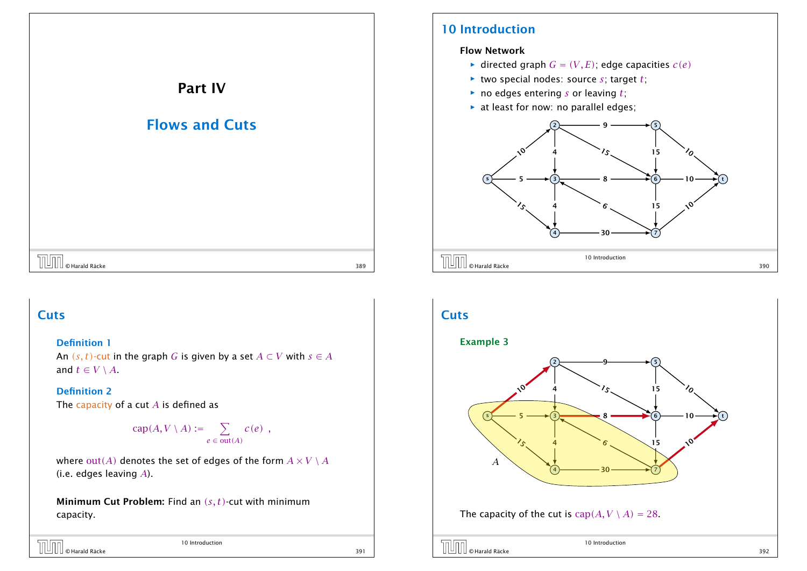

### 10 Introduction

### Flow Network

- *i* directed graph  $G = (V, E)$ ; edge capacities  $c(e)$
- $\blacktriangleright$  two special nodes: source *s*; target *t*;
- $\triangleright$  no edges entering *s* or leaving *t*;
- $\blacktriangleright$  at least for now: no parallel edges;



### **Cuts**

### Definition 1

An  $(s, t)$ -cut in the graph *G* is given by a set  $A \subset V$  with  $s \in A$ and  $t \in V \setminus A$ .

### Definition 2

The capacity of a cut *A* is defined as

$$
cap(A, V \setminus A) := \sum_{e \in out(A)} c(e) ,
$$

where  $out(A)$  denotes the set of edges of the form  $A \times V \setminus A$ (i.e. edges leaving *A*).

Minimum Cut Problem: Find an *(s, t)*-cut with minimum capacity.

| <b>THE CHATAIRE RACKE</b> | 10 Introduction |     |
|---------------------------|-----------------|-----|
|                           |                 | 391 |

# **Cuts**

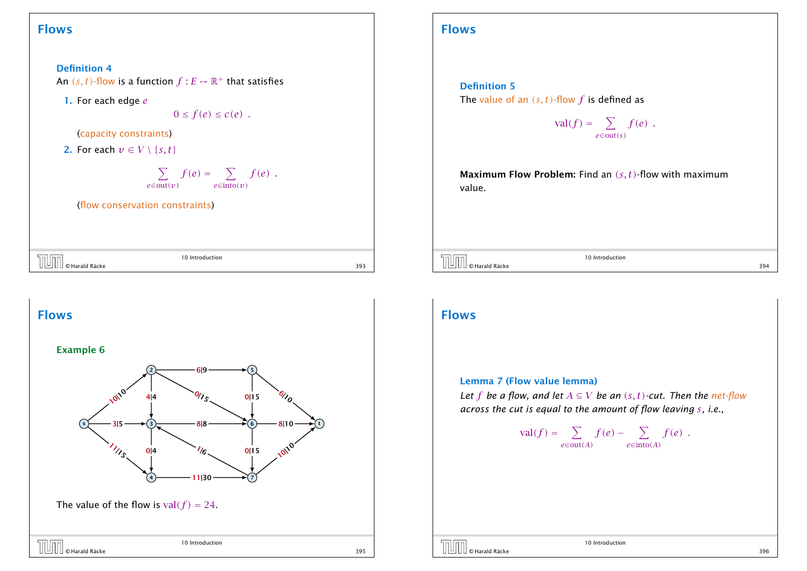### Flows

Definition 4 An  $(s, t)$ -flow is a function  $f : E \mapsto \mathbb{R}^+$  that satisfies 1. For each edge *e*

 $0 \leq f(e) \leq c(e)$ .

(capacity constraints)

2. For each  $v \in V \setminus \{s, t\}$ 

$$
\sum_{e \in \text{out}(v)} f(e) = \sum_{e \in \text{into}(v)} f(e) .
$$

(flow conservation constraints)

| $\sim$                   | ction<br>l r |     |
|--------------------------|--------------|-----|
| © Harald Räcke<br>-<br>- |              | 393 |



### Flows

#### Definition 5

The value of an *(s, t)*-flow *f* is defined as

$$
\mathrm{val}(f) = \sum_{e \in \mathrm{out}(s)} f(e) .
$$

Maximum Flow Problem: Find an *(s, t)*-flow with maximum value.

 $\overline{U}$   $\overline{U}$   $\overline{U}$   $\overline{U}$   $\overline{U}$   $\overline{U}$   $\overline{U}$   $\overline{U}$   $\overline{U}$   $\overline{U}$   $\overline{U}$   $\overline{U}$   $\overline{U}$   $\overline{U}$   $\overline{U}$   $\overline{U}$   $\overline{U}$   $\overline{U}$   $\overline{U}$   $\overline{U}$   $\overline{U}$   $\overline{U}$   $\overline{U}$   $\overline{U}$   $\overline{$ 

10 Introduction

### Flows

#### Lemma 7 (Flow value lemma)

*Let f be a flow, and let*  $A \subseteq V$  *be an*  $(s, t)$ *-cut. Then the net-flow across the cut is equal to the amount of flow leaving s, i.e.,*

> $val(f) = \sum$ *e*∈out*(A)*  $f(e) - \sum$ *e*∈into*(A) f (e) .*



10 Introduction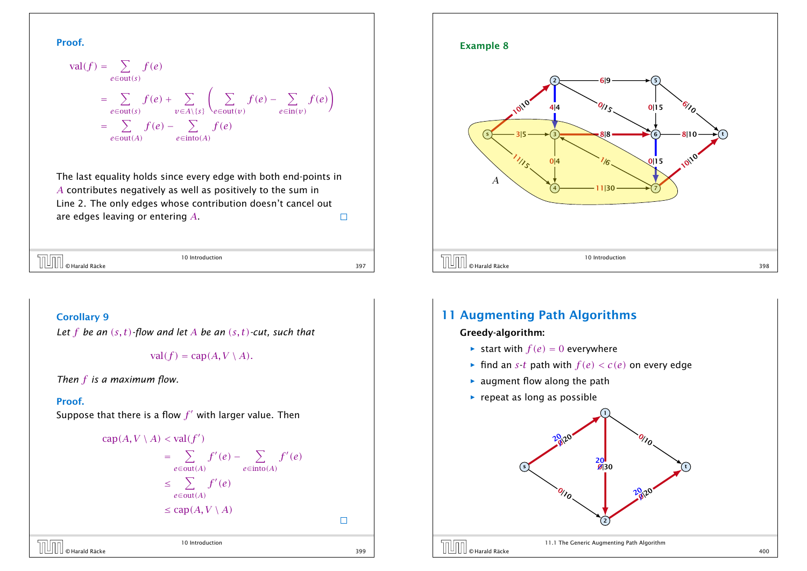Proof.

$$
\text{val}(f) = \sum_{e \in \text{out}(s)} f(e)
$$
\n
$$
= \sum_{e \in \text{out}(s)} f(e) + \sum_{v \in A \setminus \{s\}} \left( \sum_{e \in \text{out}(v)} f(e) - \sum_{e \in \text{in}(v)} f(e) \right)
$$
\n
$$
= \sum_{e \in \text{out}(A)} f(e) - \sum_{e \in \text{into}(A)} f(e)
$$

The last equality holds since every edge with both end-points in *A* contributes negatively as well as positively to the sum in Line 2. The only edges whose contribution doesn't cancel out are edges leaving or entering *A*.  $\Box$ 

|  |                                                                                                                 | 10 Introduction |     |
|--|-----------------------------------------------------------------------------------------------------------------|-----------------|-----|
|  | $\begin{bmatrix} \boxed{\phantom{a}} \\ \boxed{\phantom{a}} \end{bmatrix}$ $\begin{bmatrix} \odot$ Harald Räcke |                 | 397 |

 $\overline{\mathbb{I}}$ 

10 Introduction

#### Corollary 9

*Let f be an (s, t)-flow and let A be an (s, t)-cut, such that*

 $val(f) = can(A, V \setminus A).$ 

*Then f is a maximum flow.*

#### Proof.

Suppose that there is a flow  $f^\prime$  with larger value. Then



# $\overline{10}$   $\overline{10}$   $\overline{10}$   $\overline{10}$   $\overline{10}$   $\overline{10}$   $\overline{10}$   $\overline{10}$   $\overline{10}$   $\overline{10}$   $\overline{10}$   $\overline{10}$   $\overline{10}$   $\overline{10}$   $\overline{10}$   $\overline{10}$   $\overline{10}$   $\overline{10}$   $\overline{10}$   $\overline{10}$   $\overline{10}$   $\overline{10}$

#### Example 8



### 11 Augmenting Path Algorithms

Greedy-algorithm:

- $\blacktriangleright$  start with  $f(e) = 0$  everywhere
- **Find an** *s***-***t* **path with**  $f(e) < c(e)$  **on every edge**
- **F** augment flow along the path
- **Fig. 2** repeat as long as possible

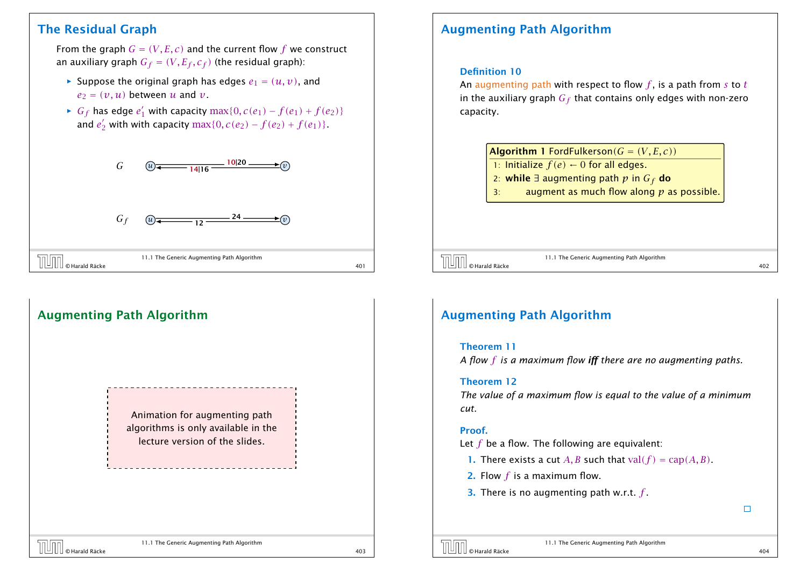### The Residual Graph

From the graph  $G = (V, E, c)$  and the current flow  $f$  we construct an auxiliary graph  $G_f = (V, E_f, c_f)$  (the residual graph):

- $\blacktriangleright$  Suppose the original graph has edges  $e_1 = (u, v)$ , and  $e_2 = (v, u)$  between *u* and *v*.
- *► G<sub>f</sub>* has edge  $e'_1$  with capacity max{0,  $c(e_1) f(e_1) + f(e_2)$ } and  $e_2'$  with with capacity  $\max\{0, c(e_2) - f(e_2) + f(e_1)\}.$



# Augmenting Path Algorithm Animation for augmenting path algorithms is only available in the lecture version of the slides.

### Augmenting Path Algorithm

#### Definition 10

An augmenting path with respect to flow *f* , is a path from *s* to *t* in the auxiliary graph *G<sup>f</sup>* that contains only edges with non-zero capacity.

| <b>Algorithm 1</b> FordFulkerson( $G = (V, E, c)$ ) |
|-----------------------------------------------------|
|                                                     |

- 1: Initialize  $f(e) \leftarrow 0$  for all edges.
- 2: while ∃ augmenting path *p* in *G<sup>f</sup>* do
- 3: augment as much flow along *p* as possible.

11.1 The Generic Augmenting Path Algorithm  $\begin{array}{|c|c|}\hline \text{}}& \text{II.I} \text{ The Generic Augmenting Path Algorithm}\ \hline \end{array}$   $\begin{array}{|c|c|}\hline \text{Harald Räcke}& \text{402}\ \hline \end{array}$ 

### Augmenting Path Algorithm

#### Theorem 11

*A flow f is a maximum flow iff there are no augmenting paths.*

#### Theorem 12

*The value of a maximum flow is equal to the value of a minimum cut.*

#### Proof.

Let *f* be a flow. The following are equivalent:

- **1.** There exists a cut A, B such that val $(f) = \text{cap}(A, B)$ .
- 2. Flow *f* is a maximum flow.
- 3. There is no augmenting path w.r.t. *f* .



11.1 The Generic Augmenting Path Algorithm  $\Box$   $\Box$   $\Box$   $\Box$   $\Box$  The Generic Augmenting Path Aigorithm  $\Box$   $\Box$   $\Box$   $\Box$   $\Box$  403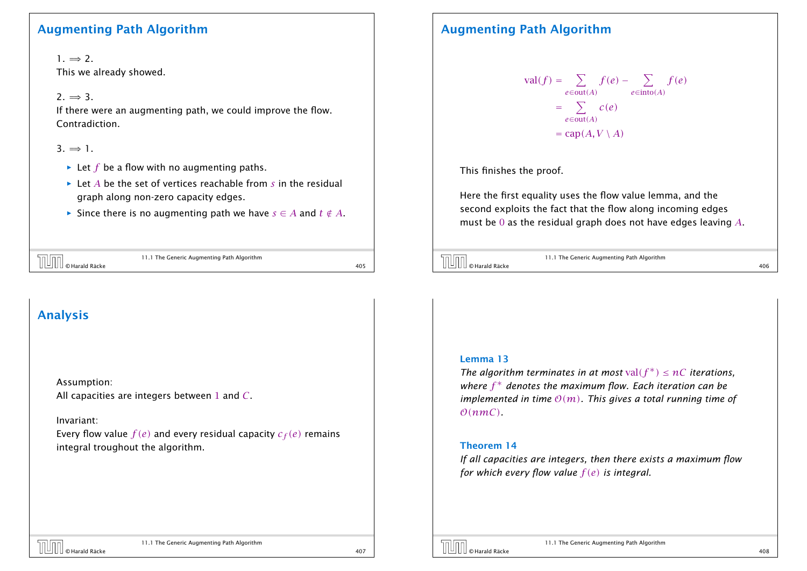### Augmenting Path Algorithm

 $1. \Rightarrow 2.$ This we already showed.

 $2. \Rightarrow 3.$ 

If there were an augmenting path, we could improve the flow. Contradiction.

 $3 \Rightarrow 1$ 

- $\blacktriangleright$  Let *f* be a flow with no augmenting paths.
- $\blacktriangleright$  Let *A* be the set of vertices reachable from *s* in the residual graph along non-zero capacity edges.
- *►* Since there is no augmenting path we have  $s \in A$  and  $t \notin A$ .

| hollon                                                                        | 11.1 The Generic Augmenting Path Algorithm |  |
|-------------------------------------------------------------------------------|--------------------------------------------|--|
| $\left\  \left[ \underline{\mathsf{U}} \right] \right\ $ $\circ$ Harald Räcke |                                            |  |

# Analysis

Assumption:

All capacities are integers between 1 and *C*.

Invariant:

Every flow value  $f(e)$  and every residual capacity  $c_f(e)$  remains integral troughout the algorithm.

### Augmenting Path Algorithm

$$
\text{val}(f) = \sum_{e \in \text{out}(A)} f(e) - \sum_{e \in \text{into}(A)} f(e)
$$

$$
= \sum_{e \in \text{out}(A)} c(e)
$$

$$
= \text{cap}(A, V \setminus A)
$$

This finishes the proof.

Here the first equality uses the flow value lemma, and the second exploits the fact that the flow along incoming edges must be 0 as the residual graph does not have edges leaving *A*.



11.1 The Generic Augmenting Path Algorithm  $\overline{11.1}$  The Generic Augmenting Path Algorithm<br> $\overline{406}$   $\overline{406}$ 

#### Lemma 13

*The algorithm terminates in at most*  $val(f^*) \leq nC$  *iterations, where f* ∗ *denotes the maximum flow. Each iteration can be implemented in time*  $O(m)$ *. This gives a total running time of*  $O(nmC)$ 

#### Theorem 14

*If all capacities are integers, then there exists a maximum flow for which every flow value f (e) is integral.*

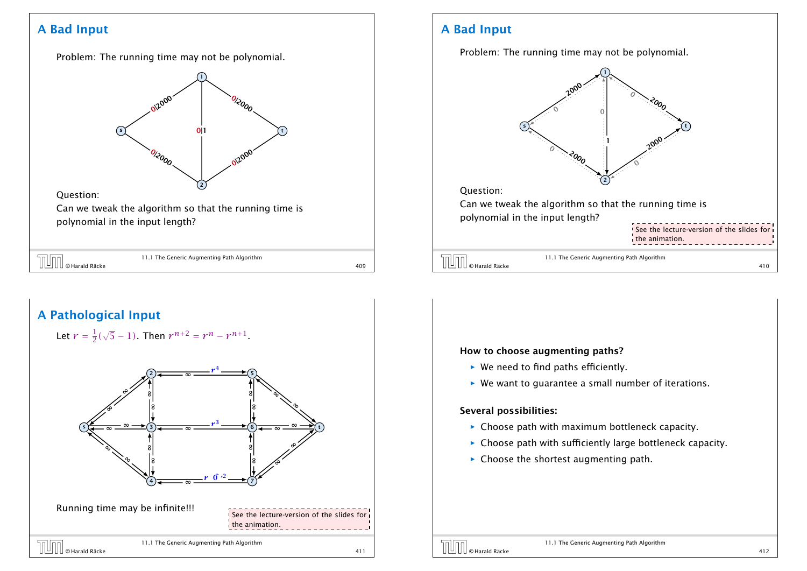### A Bad Input

Problem: The running time may not be polynomial.

### s 1 2 t 012000  $\emph{o}_{\rm lo_{O_O}}$ 0|1  $\partial_{\zeta\partial_{O_O}}$ 12000

#### Question:

Can we tweak the algorithm so that the running time is polynomial in the input length?

| <b>TUTT</b> © Harald Räcke | 11.1 The Generic Augmenting Path Algorithm |     |
|----------------------------|--------------------------------------------|-----|
|                            |                                            | 409 |



### A Bad Input

Problem: The running time may not be polynomial.



#### How to choose augmenting paths?

- ▶ We need to find paths efficiently.
- ▶ We want to guarantee a small number of iterations.

#### Several possibilities:

- **For** Choose path with maximum bottleneck capacity.
- **Choose path with sufficiently large bottleneck capacity.**
- **F** Choose the shortest augmenting path.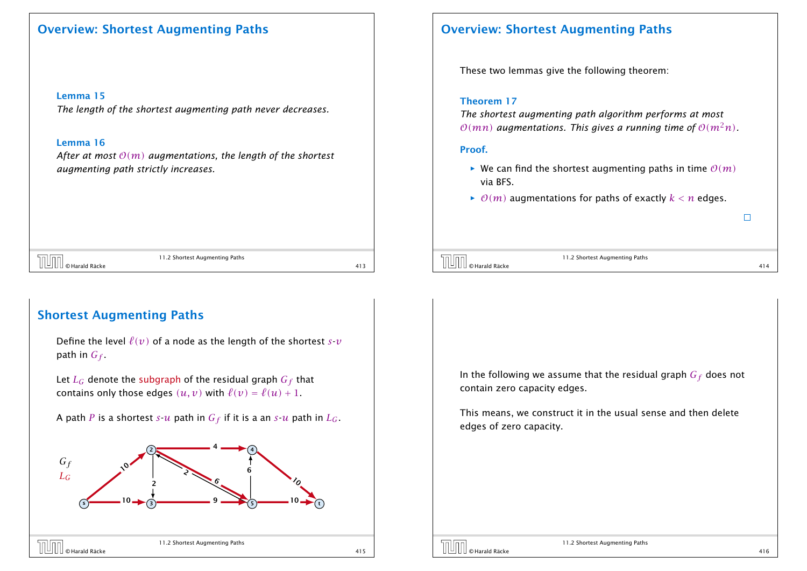### Overview: Shortest Augmenting Paths

Lemma 15

*The length of the shortest augmenting path never decreases.*

#### Lemma 16

*After at most* O*(m) augmentations, the length of the shortest augmenting path strictly increases.*

### Overview: Shortest Augmenting Paths

These two lemmas give the following theorem:

#### Theorem 17

*The shortest augmenting path algorithm performs at most*  $O(mn)$  *augmentations. This gives a running time of*  $O(m^2n)$ *.* 

#### Proof.

- $\blacktriangleright$  We can find the shortest augmenting paths in time  $O(m)$ via BFS.
- $\rho(m)$  augmentations for paths of exactly  $k < n$  edges.

11.2 Shortest Augmenting Paths  $\boxed{\cup}$  O Harald Räcke 11.2 Shortest Augmenting Paths 413

11.2 Shortest Augmenting Paths  $\boxed{\boxed{\boxed{\boxed{\boxed{\boxed{\boxed{\boxed{\boxed{\boxed{\boxed{\boxed{\boxed{\boxed{\boxed{Q}}}}}}}}}$   $\odot$  Harald Räcke 414 and the set of  $414$ 

 $\Box$ 

### Shortest Augmenting Paths

Define the level  $\ell(v)$  of a node as the length of the shortest  $s$ - $v$ path in  $G_f$ .

Let  $L_G$  denote the subgraph of the residual graph  $G_f$  that contains only those edges  $(u, v)$  with  $\ell(v) = \ell(u) + 1$ .

A path *P* is a shortest *s*-*u* path in  $G_f$  if it is a an *s*-*u* path in  $L_G$ .



In the following we assume that the residual graph *G<sup>f</sup>* does not contain zero capacity edges.

This means, we construct it in the usual sense and then delete edges of zero capacity.

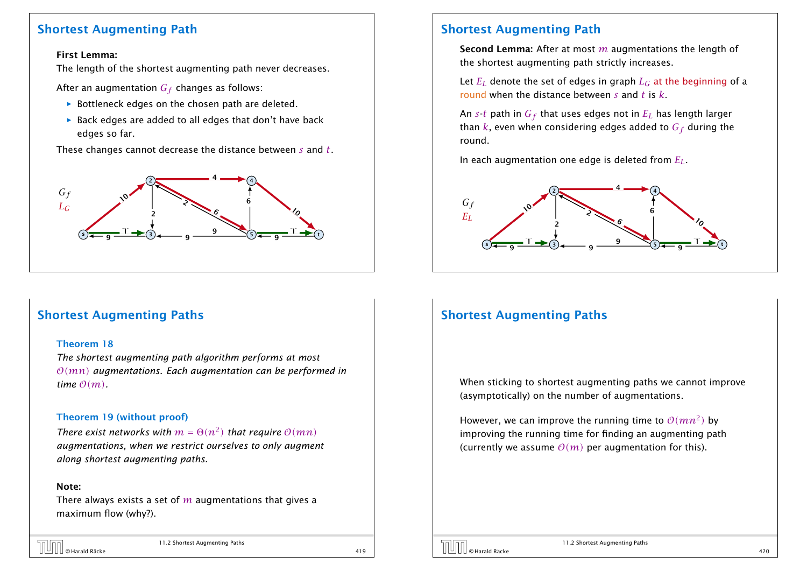### Shortest Augmenting Path

#### First Lemma:

The length of the shortest augmenting path never decreases.

After an augmentation *G<sup>f</sup>* changes as follows:

- **Foottleneck edges on the chosen path are deleted.**
- ▶ Back edges are added to all edges that don't have back edges so far.

These changes cannot decrease the distance between *s* and *t*.



### Shortest Augmenting Paths

#### Theorem 18

*The shortest augmenting path algorithm performs at most* O*(mn) augmentations. Each augmentation can be performed in time*  $O(m)$ .

#### Theorem 19 (without proof)

*There exist networks with*  $m = \Theta(n^2)$  *that require*  $\mathcal{O}(mn)$ *augmentations, when we restrict ourselves to only augment along shortest augmenting paths.*

#### Note:

There always exists a set of *m* augmentations that gives a maximum flow (why?).

# © Harald Räcke 419

11.2 Shortest Augmenting Paths

### Shortest Augmenting Path

Second Lemma: After at most *m* augmentations the length of the shortest augmenting path strictly increases.

Let  $E_I$  denote the set of edges in graph  $L_G$  at the beginning of a round when the distance between *s* and *t* is *k*.

An *s*-*t* path in  $G_f$  that uses edges not in  $E_I$  has length larger than  $k$ , even when considering edges added to  $G_f$  during the round.

In each augmentation one edge is deleted from *EL*.



### Shortest Augmenting Paths

When sticking to shortest augmenting paths we cannot improve (asymptotically) on the number of augmentations.

However, we can improve the running time to  $\mathcal{O}(mn^2)$  by improving the running time for finding an augmenting path (currently we assume  $O(m)$  per augmentation for this).

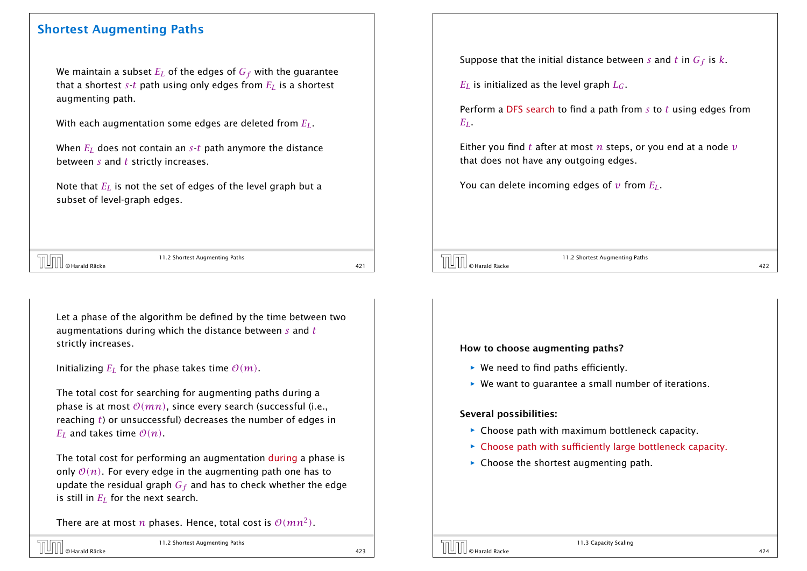### Shortest Augmenting Paths

We maintain a subset  $E_L$  of the edges of  $G_f$  with the guarantee that a shortest  $s$ -*t* path using only edges from  $E_L$  is a shortest augmenting path.

With each augmentation some edges are deleted from *EL*.

When *E<sup>L</sup>* does not contain an *s*-*t* path anymore the distance between *s* and *t* strictly increases.

Note that *E<sup>L</sup>* is not the set of edges of the level graph but a subset of level-graph edges.

| TT.2 Shortest Augmenting Paths                               |  |
|--------------------------------------------------------------|--|
| $\left[\bigsqcup \right] \right]_\mathsf{O\, Harald\,Räcke}$ |  |

11.2 Shortest Augmenting Paths

Let a phase of the algorithm be defined by the time between two augmentations during which the distance between *s* and *t* strictly increases.

Initializing  $E_I$  for the phase takes time  $\mathcal{O}(m)$ .

The total cost for searching for augmenting paths during a phase is at most  $O(mn)$ , since every search (successful (i.e., reaching *t*) or unsuccessful) decreases the number of edges in  $E_I$  and takes time  $O(n)$ .

The total cost for performing an augmentation during a phase is only  $O(n)$ . For every edge in the augmenting path one has to update the residual graph *G<sup>f</sup>* and has to check whether the edge is still in *E<sup>L</sup>* for the next search.

There are at most  $n$  phases. Hence, total cost is  $\mathcal{O}(mn^2)$ .

Suppose that the initial distance between *s* and *t* in *G<sup>f</sup>* is *k*.

 $E_I$  is initialized as the level graph  $L_G$ .

Perform a DFS search to find a path from *s* to *t* using edges from *EL*.

Either you find *t* after at most *n* steps, or you end at a node *v* that does not have any outgoing edges.

You can delete incoming edges of *v* from *EL*.

11.2 Shortest Augmenting Paths  $\boxed{\text{min}}$  e Harald Räcke  $\boxed{\text{max}}$  and  $\boxed{\text{max}}$  and  $\boxed{\text{max}}$  and  $\boxed{\text{max}}$  422

#### How to choose augmenting paths?

- ▶ We need to find paths efficiently.
- ▶ We want to quarantee a small number of iterations.

#### Several possibilities:

- **Choose path with maximum bottleneck capacity.**
- **Choose path with sufficiently large bottleneck capacity.**
- **Food Choose the shortest augmenting path.**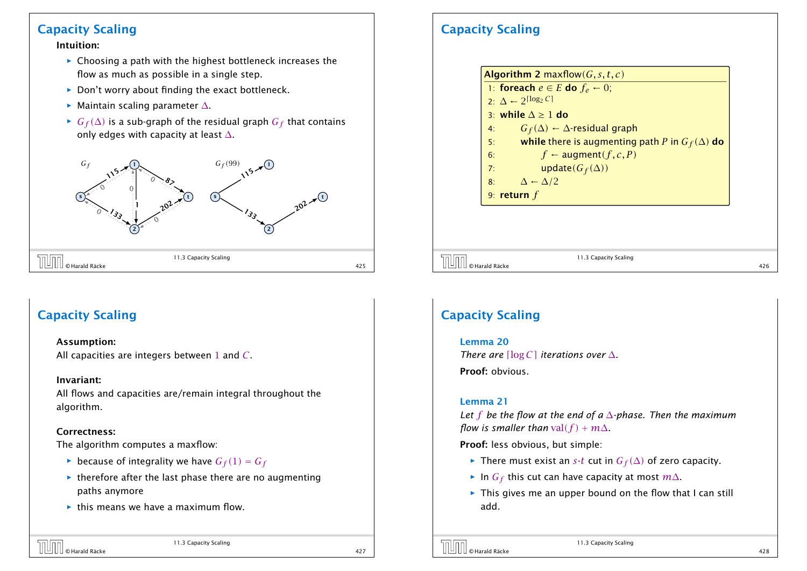### Capacity Scaling

#### Intuition:

- **Food Choosing a path with the highest bottleneck increases the** flow as much as possible in a single step.
- ▶ Don't worry about finding the exact bottleneck.
- *ñ* Maintain scaling parameter ∆.
- *►*  $G_f(\Delta)$  is a sub-graph of the residual graph  $G_f$  that contains only edges with capacity at least  $\Delta$ .



### Capacity Scaling

#### Assumption:

All capacities are integers between 1 and *C*.

#### Invariant:

All flows and capacities are/remain integral throughout the algorithm.

#### Correctness:

The algorithm computes a maxflow:

- $\blacktriangleright$  because of integrality we have  $G_f(1) = G_f$
- $\rightarrow$  therefore after the last phase there are no augmenting paths anymore
- **For** this means we have a maximum flow.

# Capacity Scaling

Algorithm 2 maxflow*(G, s, t, c)* 1: foreach  $e \in E$  do  $f_e \leftarrow 0$ ; 2:  $\Delta$  ← 2<sup>[log<sub>2</sub> *C*]</sup> 3: while ∆ ≥ 1 do 4: *G<sub>f</sub>* (Δ) ← ∆-residual graph<br>5: **while** there is augmenting **shifter is augmenting path** *P* **in**  $G_f(\Delta)$  **do** 6:  $f \leftarrow \text{augment}(f, c, P)$ 7: update $(G_f(\Delta))$ 8:  $\Delta \leftarrow \Delta/2$ 9: return *f*

 $\overline{11.3}$  Capacity Scaling<br> $\overline{426}$   $\overline{426}$   $\overline{426}$ 

11.3 Capacity Scaling

### Capacity Scaling

### Lemma 20 *There are*  $\lceil \log C \rceil$  *iterations over*  $\Delta$ *.* Proof: obvious.

#### Lemma 21

*Let f be the flow at the end of a* ∆*-phase. Then the maximum flow is smaller than* val $(f) + m\Delta$ .

Proof: less obvious, but simple:

- $\triangleright$  There must exist an *s*-*t* cut in *G*<sub>*f*</sub>( $\Delta$ ) of zero capacity.
- *<sup>ñ</sup>* In *G<sup>f</sup>* this cut can have capacity at most *m*∆.
- **Fig.** This gives me an upper bound on the flow that I can still add.



11.3 Capacity Scaling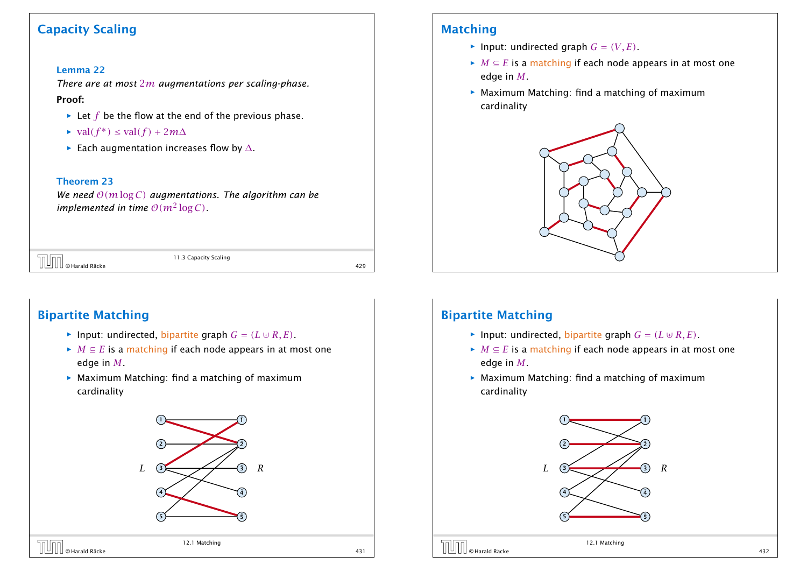### Capacity Scaling

#### Lemma 22

*There are at most* 2*m augmentations per scaling-phase.*

#### Proof:

- $\blacktriangleright$  Let *f* be the flow at the end of the previous phase.
- $\blacktriangleright$  val*(f<sup>\*</sup>)* ≤ val*(f)* + 2*m*∆
- *ñ* Each augmentation increases flow by ∆.

#### Theorem 23

*We need* O*(m*log *C) augmentations. The algorithm can be implemented in time*  $O(m^2 \log C)$ *.* 

|  | $\sqrt{\left[\begin{array}{cc} 1 & 0 \\ 0 & \end{array}\right]}$ $\odot$ Harald Räcke<br>11.3 Capacity Scaling |
|--|----------------------------------------------------------------------------------------------------------------|
|  |                                                                                                                |

11.3 Capacity Scaling

### Bipartite Matching

- $\blacktriangleright$  Input: undirected, bipartite graph  $G = (L \oplus R, E)$ .
- $\blacktriangleright$  *M*  $\subseteq$  *E* is a matching if each node appears in at most one edge in *M*.
- ▶ Maximum Matching: find a matching of maximum cardinality



### Matching

- $\blacktriangleright$  Input: undirected graph  $G = (V, E)$ .
- $\blacktriangleright$  *M*  $\subseteq$  *E* is a matching if each node appears in at most one edge in *M*.
- ▶ Maximum Matching: find a matching of maximum cardinality



### Bipartite Matching

- $\blacktriangleright$  Input: undirected, bipartite graph  $G = (L \oplus R, E)$ .
- $\blacktriangleright$  *M*  $\subseteq$  *E* is a matching if each node appears in at most one edge in *M*.
- ▶ Maximum Matching: find a matching of maximum cardinality

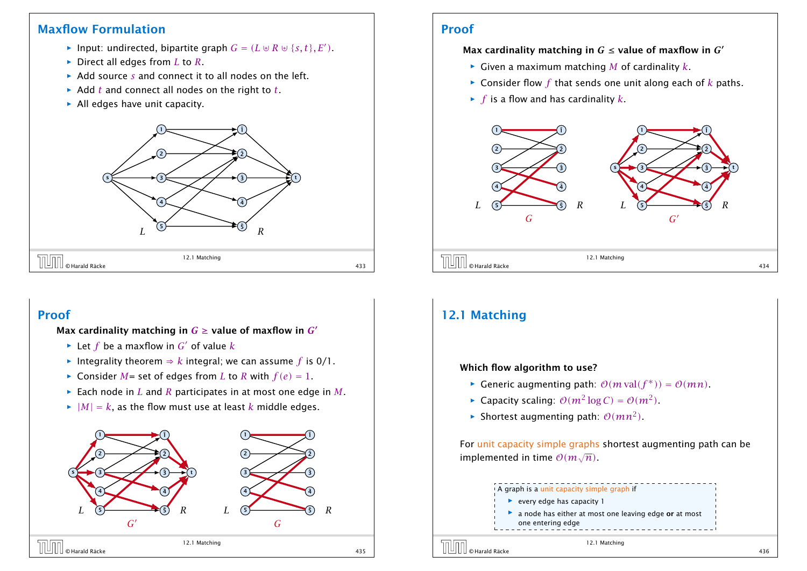### Maxflow Formulation

- $\blacktriangleright$  Input: undirected, bipartite graph  $G = (L \oplus R \oplus \{s, t\}, E')$ .
- *ñ* Direct all edges from *L* to *R*.
- **▶ Add source** *s* **and connect it to all nodes on the left.**
- **▶ Add** *t* **and connect all nodes on the right to** *t***.**
- **All edges have unit capacity.**



### Proof

#### Max cardinality matching in  $G \leq$  value of maxflow in  $G'$

- $\blacktriangleright$  Given a maximum matching *M* of cardinality *k*.
- $\triangleright$  Consider flow  $f$  that sends one unit along each of  $k$  paths.
- $\blacktriangleright$  *f* is a flow and has cardinality *k*.



### Proof

Max cardinality matching in  $G \geq$  value of maxflow in  $G'$ 

- $\blacktriangleright$  Let *f* be a maxflow in *G'* of value *k*
- $\triangleright$  Integrality theorem  $\Rightarrow$  *k* integral; we can assume *f* is 0/1.
- $\blacktriangleright$  Consider *M* = set of edges from *L* to *R* with  $f(e) = 1$ .
- $\blacktriangleright$  Each node in *L* and *R* participates in at most one edge in *M*.
- $\blacktriangleright$   $|M| = k$ , as the flow must use at least *k* middle edges.



### 12.1 Matching

#### Which flow algorithm to use?

- *►* Generic augmenting path:  $O(m \text{ val}(f^*)) = O(mn)$ .
- ▶ Capacity scaling:  $O(m^2 \log C) = O(m^2)$ .
- $\blacktriangleright$  Shortest augmenting path:  $\mathcal{O}(mn^2)$ .

For unit capacity simple graphs shortest augmenting path can be implemented in time <sup>O</sup>*(m*<sup>√</sup> *n)*.

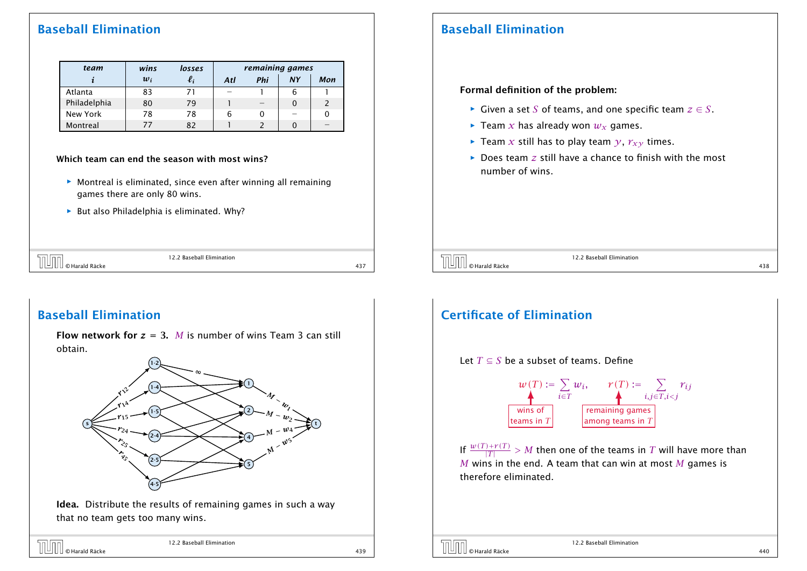### Baseball Elimination

| team         | wins  | losses                | remaining games |     |           |     |
|--------------|-------|-----------------------|-----------------|-----|-----------|-----|
|              | $w_i$ | $\boldsymbol{\ell_i}$ | Atl             | Phi | <b>NY</b> | Mon |
| Atlanta      | 83    | 71                    |                 |     | 6         |     |
| Philadelphia | 80    | 79                    |                 |     |           |     |
| New York     | 78    | 78                    | 6               | 0   |           |     |
| Montreal     |       | 82                    |                 |     |           |     |

#### Which team can end the season with most wins?

- ▶ Montreal is eliminated, since even after winning all remaining games there are only 80 wins.
- ▶ But also Philadelphia is eliminated. Why?

|                         | 22.2 Baseban<br>Elimination<br>$\sim$ . $\sim$ |                  |  |
|-------------------------|------------------------------------------------|------------------|--|
| $\sim$ $\cdot$<br>Räcke |                                                | $- - -$<br>، ر + |  |

### Baseball Elimination

**Flow network for**  $z = 3$ **.** *M* is number of wins Team 3 can still obtain.



Idea. Distribute the results of remaining games in such a way that no team gets too many wins.

| <b>TUTT</b> © Harald Räcke | 12.2 Baseball Elimination |     |
|----------------------------|---------------------------|-----|
|                            |                           | 439 |

### Baseball Elimination

#### Formal definition of the problem:

- *<sup>ñ</sup>* Given a set *S* of teams, and one specific team *z* ∈ *S*.
- $\blacktriangleright$  Team *x* has already won  $w_x$  games.
- $\blacktriangleright$  Team *x* still has to play team *y*,  $r_{xy}$  times.
- **▶** Does team *z* still have a chance to finish with the most number of wins.

 $\boxed{\text{min}}$  O Harald Räcke 12.2 Baseball Elimination 438

12.2 Baseball Elimination

#### Certificate of Elimination Let *T* ⊆ *S* be a subset of teams. Define  $w(T) \coloneqq \sum$ *i*∈*T*  $w_i$ ,  $r(T) := \sum$ *i,j*∈*T,i<j rij* If  $\frac{w(T)+r(T)}{|T|} > M$  then one of the teams in  $T$  will have more than *M* wins in the end. A team that can win at most *M* games is therefore eliminated. wins of teams in *T* remaining games among teams in *T*

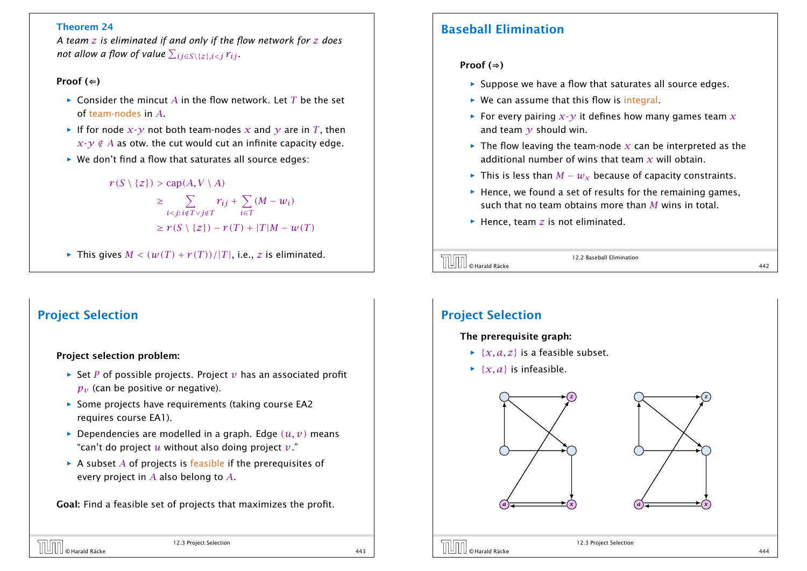#### Theorem 24

*A team z is eliminated if and only if the flow network for z does*  $\bm{n}$ ot allow a flow of value  $\sum_{ij \in S \setminus \{z\}, i < j} r_{ij}$ .

#### Proof  $($   $\Leftarrow$   $)$

- *ñ* Consider the mincut *A* in the flow network. Let *T* be the set of team-nodes in *A*.
- $\blacktriangleright$  If for node  $x \cdot \nu$  not both team-nodes x and  $\nu$  are in T, then  $x-y \notin A$  as otw. the cut would cut an infinite capacity edge.
- ▶ We don't find a flow that saturates all source edges:

#### $r(S \setminus \{z\})$  > cap $(A, V \setminus A)$

$$
\geq \sum_{i < j: i \notin T \vee j \notin T} r_{ij} + \sum_{i \in T} (M - w_i)
$$
\n
$$
\geq r(S \setminus \{z\}) - r(T) + |T|M - w(T)|
$$

 $\blacktriangleright$  This gives  $M < (w(T) + r(T))/|T|$ , i.e., *z* is eliminated.

### Project Selection

#### Project selection problem:

- $\rightarrow$  Set *P* of possible projects. Project *v* has an associated profit  $p_v$  (can be positive or negative).
- **Fome projects have requirements (taking course EA2** requires course EA1).
- $\blacktriangleright$  Dependencies are modelled in a graph. Edge  $(u, v)$  means "can't do project *u* without also doing project *v*."
- $\triangleright$  A subset *A* of projects is feasible if the prerequisites of every project in *A* also belong to *A*.

Goal: Find a feasible set of projects that maximizes the profit.

### Baseball Elimination

#### Proof  $($ ⇒)

- **Follo** Suppose we have a flow that saturates all source edges.
- **► We can assume that this flow is integral.**
- **For every pairing**  $x-y$  **it defines how many games team**  $x$ and team  $\gamma$  should win.
- $\blacktriangleright$  The flow leaving the team-node  $x$  can be interpreted as the additional number of wins that team *x* will obtain.
- *►* This is less than  $M w_x$  because of capacity constraints.
- **► Hence, we found a set of results for the remaining games,** such that no team obtains more than *M* wins in total.
- **►** Hence, team *z* is not eliminated.



12.2 Baseball Elimination

### Project Selection

#### The prerequisite graph:

- $\rightarrow \{x, a, z\}$  is a feasible subset.
- $\blacktriangleright$  {*x, a*} is infeasible.





12.3 Project Selection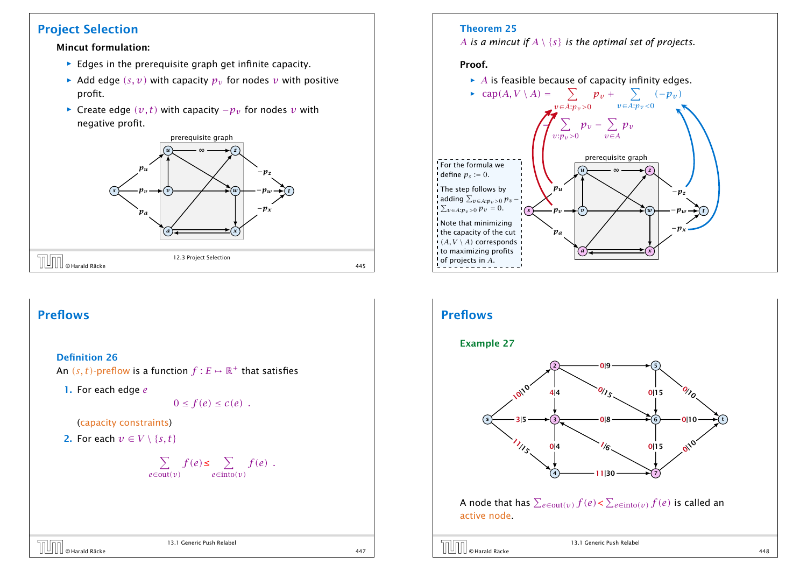### Project Selection

#### Mincut formulation:

- **F** Edges in the prerequisite graph get infinite capacity.
- $\blacktriangleright$  Add edge  $(s, v)$  with capacity  $p_v$  for nodes *v* with positive profit.
- *►* Create edge  $(v, t)$  with capacity  $-p_v$  for nodes  $v$  with negative profit.



### Preflows

#### Definition 26

An  $(s, t)$ -preflow is a function  $f : E \mapsto \mathbb{R}^+$  that satisfies

1. For each edge *e*

 $0 \leq f(e) \leq c(e)$ .

#### (capacity constraints)

2. For each  $v \in V \setminus \{s, t\}$ 

#### $\sum f(e) \leq \sum f(e)$ . *e*∈out*(v) e*∈into*(v)*

# $\boxed{\Box\Box\Box\Box}$   $\odot$  Harald Räcke  $^{13.1}$  Generic Push Relabel  $^{447}$

13.1 Generic Push Relabel

#### Theorem 25

*A is a mincut if A* \ {*s*} *is the optimal set of projects.*

#### Proof.

 $\blacktriangleright$  *A* is feasible because of capacity infinity edges.



### Preflows

#### Example 27



A node that has  $\sum_{e \in \text{out}(v)} f(e) < \sum_{e \in \text{into}(v)} f(e)$  is called an active node.

13.1 Generic Push Relabel © Harald Räcke 448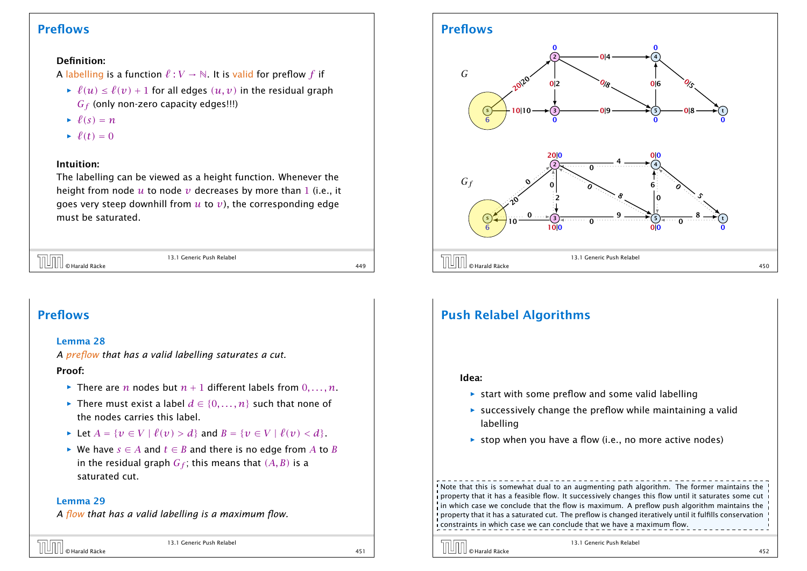### Preflows

#### Definition:

A labelling is a function  $\ell : V \to \mathbb{N}$ . It is valid for preflow *f* if

- $\hat{f}(u) \leq \hat{f}(v) + 1$  for all edges  $(u, v)$  in the residual graph *G<sup>f</sup>* (only non-zero capacity edges!!!)
- $\ell(s) = n$
- $\rightarrow \ell(t) = 0$

#### Intuition:

The labelling can be viewed as a height function. Whenever the height from node  $u$  to node  $v$  decreases by more than 1 (i.e., it goes very steep downhill from *u* to *v*), the corresponding edge must be saturated.

| <b>TUTT</b> © Harald Räcke | 13.1 Generic Push Relabel |     |
|----------------------------|---------------------------|-----|
|                            |                           | 449 |

### Preflows

#### Lemma 28

*A preflow that has a valid labelling saturates a cut.*

#### Proof:

- $\blacktriangleright$  There are *n* nodes but  $n+1$  different labels from  $0, \ldots, n$ .
- **►** There must exist a label  $d \in \{0, ..., n\}$  such that none of the nodes carries this label.
- *►* Let  $A = \{v \in V \mid \ell(v) > d\}$  and  $B = \{v \in V \mid \ell(v) < d\}.$
- *►* We have  $s \in A$  and  $t \in B$  and there is no edge from  $A$  to  $B$ in the residual graph  $G_f$ ; this means that  $(A, B)$  is a saturated cut.

#### Lemma 29

*A flow that has a valid labelling is a maximum flow.*



13.1 Generic Push Relabel

### Preflows



### Push Relabel Algorithms

#### Idea:

- $\triangleright$  start with some preflow and some valid labelling
- **Following Successively change the preflow while maintaining a valid** labelling
- $\triangleright$  stop when you have a flow (i.e., no more active nodes)

! Note that this is somewhat dual to an augmenting path algorithm. The former maintains the ! property that it has a feasible flow. It successively changes this flow until it saturates some cut  $\frac{1}{2}$  in which case we conclude that the flow is maximum. A preflow push algorithm maintains the I property that it has a saturated cut. The preflow is changed iteratively until it fulfills conservation constraints in which case we can conclude that we have a maximum flow.

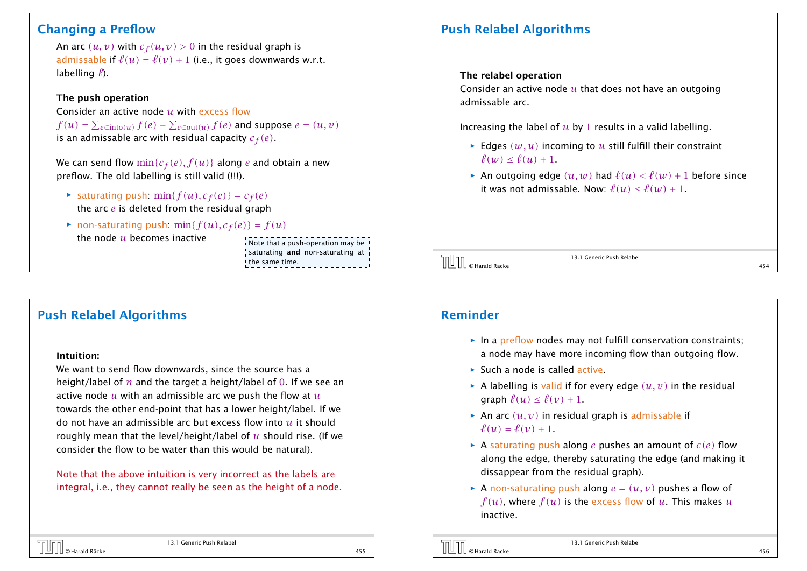### Changing a Preflow

An arc  $(u, v)$  with  $c_f(u, v) > 0$  in the residual graph is admissable if  $\ell(u) = \ell(v) + 1$  (i.e., it goes downwards w.r.t. labelling  $\ell$ ).

#### The push operation

Consider an active node *u* with excess flow  $f(u) = \sum_{e \in \text{into}(u)} f(e) - \sum_{e \in \text{out}(u)} f(e)$  and suppose  $e = (u, v)$ is an admissable arc with residual capacity *c<sup>f</sup> (e)*.

We can send flow  $\min\{c_f(e), f(u)\}$  along *e* and obtain a new preflow. The old labelling is still valid (!!!).

- $\blacktriangleright$  saturating push: min{ $f(u)$ ,  $c_f(e)$ } =  $c_f(e)$ the arc *e* is deleted from the residual graph
- non-saturating push:  $\min\{f(u), c_f(e)\} = f(u)$ the node *u* becomes inactive<br>Note that a push-operation may be

saturating and non-saturating at the same time.

### Push Relabel Algorithms

#### Intuition:

We want to send flow downwards, since the source has a height/label of *n* and the target a height/label of 0. If we see an active node *u* with an admissible arc we push the flow at *u* towards the other end-point that has a lower height/label. If we do not have an admissible arc but excess flow into *u* it should roughly mean that the level/height/label of *u* should rise. (If we consider the flow to be water than this would be natural).

Note that the above intuition is very incorrect as the labels are integral, i.e., they cannot really be seen as the height of a node.

### Push Relabel Algorithms

#### The relabel operation

Consider an active node *u* that does not have an outgoing admissable arc.

Increasing the label of *u* by 1 results in a valid labelling.

- $\blacktriangleright$  Edges  $(w, u)$  incoming to  $u$  still fulfill their constraint  $\ell(w) < \ell(u) + 1$ .
- An outgoing edge  $(u, w)$  had  $\ell(u) < \ell(w) + 1$  before since it was not admissable. Now:  $\ell(u) \leq \ell(w) + 1$ .

© Harald Räcke 454

13.1 Generic Push Relabel

### Reminder

- **in a preflow nodes may not fulfill conservation constraints:** a node may have more incoming flow than outgoing flow.
- ▶ Such a node is called active.
- $\blacktriangleright$  A labelling is valid if for every edge  $(u, v)$  in the residual graph  $\ell(u) \leq \ell(v) + 1$ .
- $\triangleright$  An arc  $(u, v)$  in residual graph is admissable if  $\ell(u) = \ell(v) + 1$ .
- $\blacktriangleright$  A saturating push along *e* pushes an amount of  $c(e)$  flow along the edge, thereby saturating the edge (and making it dissappear from the residual graph).
- $\triangleright$  A non-saturating push along  $e = (u, v)$  pushes a flow of  $f(u)$ , where  $f(u)$  is the excess flow of  $u$ . This makes  $u$ inactive.

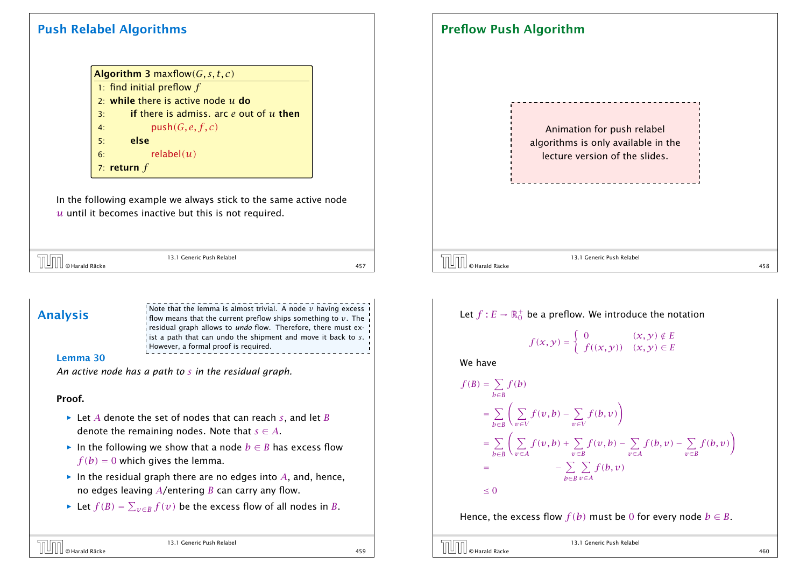### Push Relabel Algorithms

|            | <b>Algorithm 3 maxflow</b> $(G, s, t, c)$          |
|------------|----------------------------------------------------|
|            | 1: find initial preflow $f$                        |
|            | 2: while there is active node $u$ do               |
| 3:         | <b>if</b> there is admiss. arc $e$ out of $u$ then |
| 4:<br>$5:$ | push(G, e, f, c)                                   |
|            | else                                               |
| 6:         | relabel $(u)$                                      |
|            | 7: return $f$                                      |
|            |                                                    |

In the following example we always stick to the same active node *u* until it becomes inactive but this is not required.

|                | 13.1 Generic Push Relabel |  |
|----------------|---------------------------|--|
| D Harald Räcke |                           |  |

Analysis<br>Analysis in the lemma is almost trivial. A node *v* having excess in the current preflow ships something to *v*. The residual graph allows to *undo* flow. Therefore, there must exist a path that can undo the shipment and move it back to *s*. However, a formal proof is required.

#### Lemma 30

*An active node has a path to s in the residual graph.*

#### Proof.

- *ñ* Let *A* denote the set of nodes that can reach *s*, and let *B* denote the remaining nodes. Note that  $s \in A$ .
- **►** In the following we show that a node  $b \in B$  has excess flow  $f(b) = 0$  which gives the lemma.
- $\blacktriangleright$  In the residual graph there are no edges into *A*, and, hence, no edges leaving *A*/entering *B* can carry any flow.
- *►* Let  $f(B) = \sum_{v \in B} f(v)$  be the excess flow of all nodes in *B*.

Animation for push relabel algorithms is only available in the lecture version of the slides. 13.1 Generic Push Relabel © Harald Räcke 458

Preflow Push Algorithm

Let 
$$
f : E \to \mathbb{R}_0^+
$$
 be a preflow. We introduce the notation  
\n
$$
f(x, y) = \begin{cases} 0 & (x, y) \notin E \\ f((x, y)) & (x, y) \in E \end{cases}
$$
\nWe have\n
$$
f(B) = \sum_{b \in B} f(b)
$$
\n
$$
= \sum_{b \in B} \left( \sum_{v \in V} f(v, b) - \sum_{v \in V} f(b, v) \right)
$$
\n
$$
= \sum_{b \in B} \left( \sum_{v \in A} f(v, b) + \sum_{v \in B} f(v, b) - \sum_{v \in A} f(b, v) - \sum_{v \in B} f(b, v) \right)
$$
\n
$$
= - \sum_{b \in B} \sum_{v \in A} f(b, v)
$$
\n
$$
\leq 0
$$

Hence, the excess flow  $f(b)$  must be 0 for every node  $b \in B$ .

13.1 Generic Push Relabel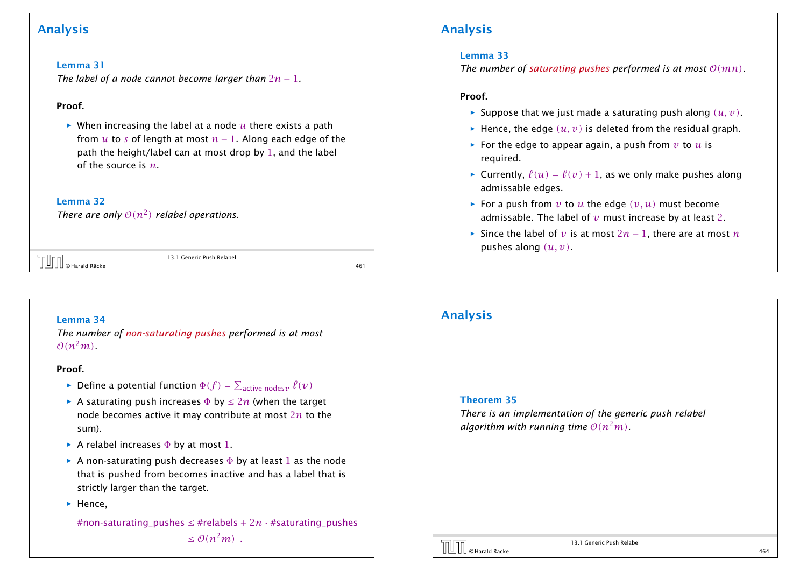### Analysis

#### Lemma 31

*The label of a node cannot become larger than* 2*n* − 1*.*

#### Proof.

 $\triangleright$  When increasing the label at a node  $u$  there exists a path from  $u$  to  $s$  of length at most  $n-1$ . Along each edge of the path the height/label can at most drop by 1, and the label of the source is *n*.

#### Lemma 32

*There are only*  $O(n^2)$  *relabel operations.* 

|  | $\left[\begin{matrix} 1 & 0 \\ 0 & 0 \end{matrix}\right]$ $\odot$ Harald Räcke | 13.1 Generic Push Relabel |
|--|--------------------------------------------------------------------------------|---------------------------|
|  |                                                                                |                           |

13.1 Generic Push Relabel

#### Lemma 34

*The number of non-saturating pushes performed is at most*  $O(n^2m)$ 

#### Proof.

- $\blacktriangleright$  Define a potential function  $\Phi(f) = \sum_{\text{active nodes } \nu} \ell(\nu)$
- $▶$  A saturating push increases  $\Phi$  by  $\leq 2n$  (when the target node becomes active it may contribute at most 2*n* to the sum).
- **►** A relabel increases  $\Phi$  by at most 1.
- **►** A non-saturating push decreases  $\Phi$  by at least 1 as the node that is pushed from becomes inactive and has a label that is strictly larger than the target.
- ▶ Hence,

#non-saturating\_pushes  $\leq$  #relabels + 2*n* · #saturating\_pushes  $\leq \mathcal{O}(n^2m)$ .

### Analysis

#### Lemma 33

*The number of saturating pushes performed is at most*  $O(mn)$ *.* 

#### Proof.

- $\blacktriangleright$  Suppose that we just made a saturating push along  $(u, v)$ .
- $\blacktriangleright$  Hence, the edge  $(u, v)$  is deleted from the residual graph.
- **For the edge to appear again, a push from**  $v$  **to**  $u$  **is** required.
- $\triangleright$  Currently,  $\ell(u) = \ell(v) + 1$ , as we only make pushes along admissable edges.
- For a push from  $v$  to  $u$  the edge  $(v, u)$  must become admissable. The label of  $v$  must increase by at least 2.
- *►* Since the label of *v* is at most  $2n 1$ , there are at most *n* pushes along *(u, v)*.

### Analysis

#### Theorem 35

*There is an implementation of the generic push relabel algorithm with running time*  $O(n^2m)$ *.* 

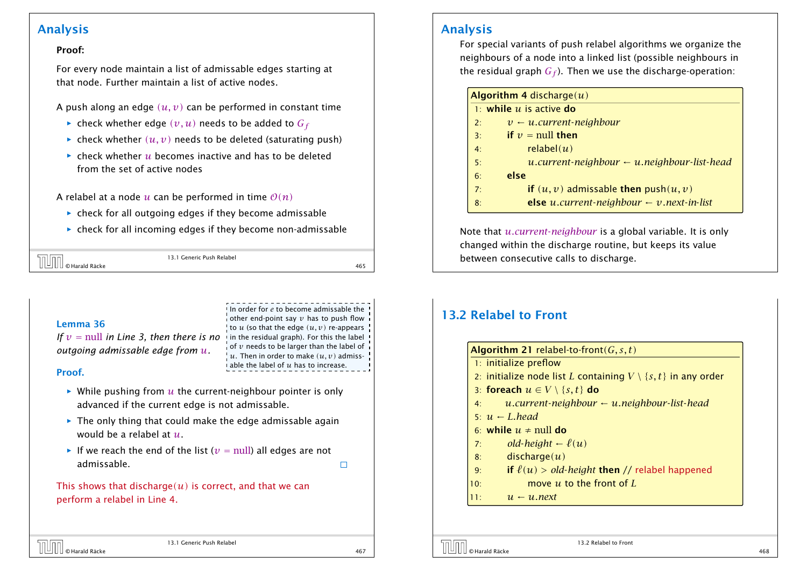### Analysis

#### Proof:

For every node maintain a list of admissable edges starting at that node. Further maintain a list of active nodes.

- A push along an edge  $(u, v)$  can be performed in constant time
	- $\blacktriangleright$  check whether edge  $(v, u)$  needs to be added to  $G_f$
	- $\triangleright$  check whether  $(u, v)$  needs to be deleted (saturating push)
	- $\triangleright$  check whether  $u$  becomes inactive and has to be deleted from the set of active nodes

A relabel at a node *u* can be performed in time  $O(n)$ 

- **Following check** for all outgoing edges if they become admissable
- $\rightarrow$  check for all incoming edges if they become non-admissable

| ا د ک                         | 13.1 Generic Push Relabel |    |
|-------------------------------|---------------------------|----|
| III © Harald Räcke<br>'     ⊔ |                           | 46 |

In order for *e* to become admissable the other end-point say *v* has to push flow to  $u$  (so that the edge  $(u, v)$  re-appears of *v* needs to be larger than the label of  $\mu$ . Then in order to make  $(u, v)$  admissable the label of *u* has to increase.

#### Lemma 36

*If*  $v =$  null *in Line 3, then there is no* in the residual graph). For this the label *outgoing admissable edge from u.*

#### Proof.

- $\triangleright$  While pushing from  $u$  the current-neighbour pointer is only advanced if the current edge is not admissable.
- $\blacktriangleright$  The only thing that could make the edge admissable again would be a relabel at *u*.
- $\blacktriangleright$  If we reach the end of the list ( $v = \text{null}$ ) all edges are not admissable.

This shows that discharge $(u)$  is correct, and that we can perform a relabel in Line 4.

#### Analysis

For special variants of push relabel algorithms we organize the neighbours of a node into a linked list (possible neighbours in the residual graph  $G_f$ ). Then we use the discharge-operation:

| <b>Algorithm 4 discharge <math>(u)</math></b> |                                                             |  |
|-----------------------------------------------|-------------------------------------------------------------|--|
|                                               | 1: while $u$ is active do                                   |  |
| 2:                                            | $v \leftarrow u$ .current-neighbour                         |  |
| 3:                                            | if $v = \text{null}$ then                                   |  |
| 4:                                            | relabel $(u)$                                               |  |
| 5:                                            | $u$ .current-neighbour $\leftarrow u$ .neighbour-list-head  |  |
| 6:                                            | else                                                        |  |
| 7:                                            | if $(u, v)$ admissable then push $(u, v)$                   |  |
| 8:                                            | <b>else</b> u.current-neighbour $\leftarrow v$ next-in-list |  |

Note that *u.current*-*neighbour* is a global variable. It is only changed within the discharge routine, but keeps its value between consecutive calls to discharge.

### 13.2 Relabel to Front

|     | <b>Algorithm 21</b> relabel-to-front( $G, s, t$ )                       |
|-----|-------------------------------------------------------------------------|
|     | 1: initialize preflow                                                   |
|     | 2: initialize node list L containing $V \setminus \{s,t\}$ in any order |
|     | 3: foreach $u \in V \setminus \{s, t\}$ do                              |
| 4:  | $u$ .current-neighbour $\leftarrow u$ .neighbour-list-head              |
|     | $5: u \leftarrow L$ head                                                |
|     | 6: while $u \neq null$ do                                               |
| 7:  | old-height $-\ell(u)$                                                   |
| 8:  | discharge(u)                                                            |
| 9:  | if $\ell(u) > old$ - <i>height</i> then // relabel happened             |
| 10: | move $u$ to the front of $L$                                            |
| 11: | $u \leftarrow u$ . next                                                 |

 $\Box$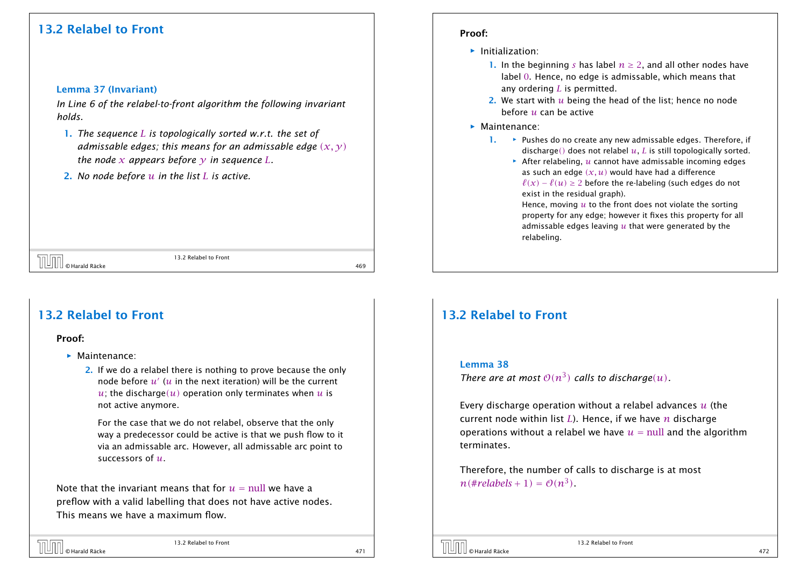### 13.2 Relabel to Front

#### Lemma 37 (Invariant)

*In Line 6 of the relabel-to-front algorithm the following invariant holds.*

- 1. *The sequence L is topologically sorted w.r.t. the set of admissable edges; this means for an admissable edge (x, y) the node x appears before*  $\nu$  *in sequence L.*
- 2. *No node before u in the list L is active.*

© Harald Räcke 469

13.2 Relabel to Front

### 13.2 Relabel to Front

#### Proof:

- *ñ* Maintenance:
	- 2. If we do a relabel there is nothing to prove because the only node before  $u^{\prime}$  ( $u$  in the next iteration) will be the current *u*; the discharge(*u*) operation only terminates when *u* is not active anymore.

For the case that we do not relabel, observe that the only way a predecessor could be active is that we push flow to it via an admissable arc. However, all admissable arc point to successors of *u*.

Note that the invariant means that for  $u = \text{null}$  we have a preflow with a valid labelling that does not have active nodes. This means we have a maximum flow.

# © Harald Räcke 471

13.2 Relabel to Front

#### Proof:

- $\blacktriangleright$  Initialization:
	- 1. In the beginning *s* has label  $n \geq 2$ , and all other nodes have label 0. Hence, no edge is admissable, which means that any ordering *L* is permitted.
	- 2. We start with *u* being the head of the list; hence no node before *u* can be active
- *ñ* Maintenance:
	- 1. **★** Pushes do no create any new admissable edges. Therefore, if discharge*()* does not relabel *u*, *L* is still topologically sorted.

 $\triangleright$  After relabeling,  $u$  cannot have admissable incoming edges as such an edge  $(x, u)$  would have had a difference  $\ell(x) - \ell(u) \geq 2$  before the re-labeling (such edges do not exist in the residual graph).

Hence, moving *u* to the front does not violate the sorting property for any edge; however it fixes this property for all admissable edges leaving *u* that were generated by the relabeling.

### 13.2 Relabel to Front

#### Lemma 38

*There are at most*  $O(n^3)$  *calls to discharge* $(u)$ *.* 

Every discharge operation without a relabel advances *u* (the current node within list *L*). Hence, if we have *n* discharge operations without a relabel we have  $u = \text{null}$  and the algorithm terminates.

Therefore, the number of calls to discharge is at most  $n$ (#*relabels* + 1) =  $O(n^3)$ .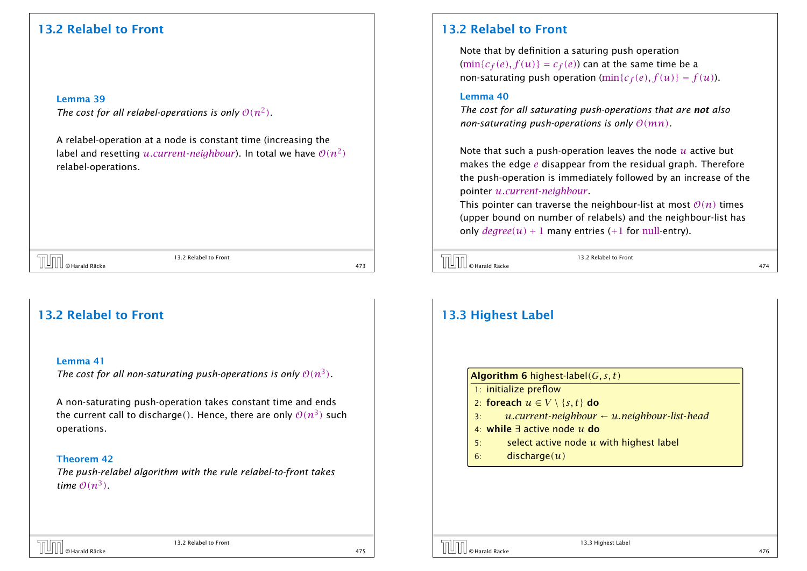### 13.2 Relabel to Front

#### Lemma 39

*The cost for all relabel-operations is only*  $O(n^2)$ *.* 

A relabel-operation at a node is constant time (increasing the label and resetting  $u.current\text{-}neighbor$ ). In total we have  $\mathcal{O}(n^2)$ relabel-operations.

© Harald Räcke 473

13.2 Relabel to Front

### 13.2 Relabel to Front

#### Lemma 41

The cost for all non-saturating push-operations is only  $O(n^3)$ .

A non-saturating push-operation takes constant time and ends the current call to discharge(). Hence, there are only  $\mathcal{O}(n^3)$  such operations.

#### Theorem 42

*The push-relabel algorithm with the rule relabel-to-front takes time*  $O(n^3)$ .

### 13.2 Relabel to Front

Note that by definition a saturing push operation  $(\min\{c_f(e), f(u)\} = c_f(e))$  can at the same time be a non-saturating push operation  $(\min\{c_f(e), f(u)\} = f(u))$ .

#### Lemma 40

*The cost for all saturating push-operations that are not also non-saturating push-operations is only*  $O(mn)$ *.* 

Note that such a push-operation leaves the node *u* active but makes the edge *e* disappear from the residual graph. Therefore the push-operation is immediately followed by an increase of the pointer *u.current*-*neighbour*.

This pointer can traverse the neighbour-list at most  $O(n)$  times (upper bound on number of relabels) and the neighbour-list has only  $degree(u) + 1$  many entries (+1 for null-entry).

© Harald Räcke 474

13.2 Relabel to Front

### 13.3 Highest Label

| <b>Algorithm 6</b> highest-label( $G, s, t$ )                    |
|------------------------------------------------------------------|
| 1: initialize preflow                                            |
| 2: foreach $u \in V \setminus \{s, t\}$ do                       |
| $u$ .current-neighbour $\leftarrow u$ .neighbour-list-head<br>3: |
| 4: while $\exists$ active node u do                              |
| select active node $u$ with highest label<br>5:                  |
| discharge(u)<br>6:                                               |
|                                                                  |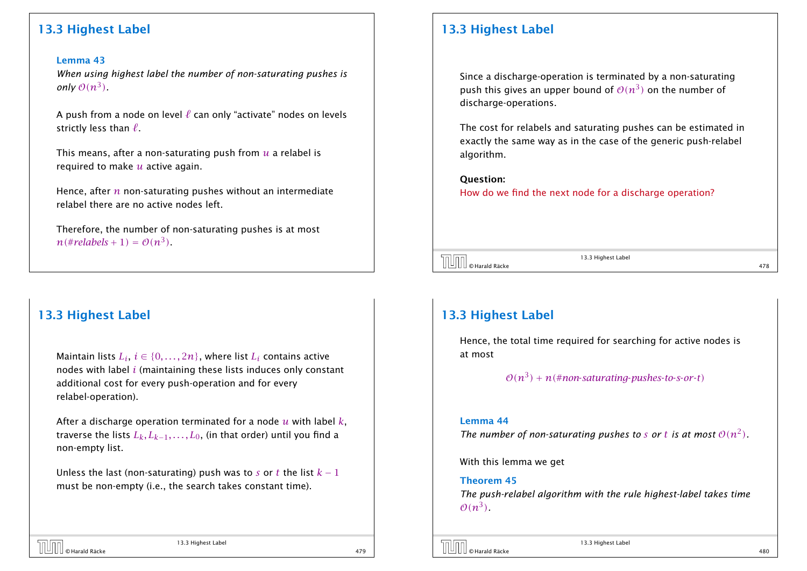### 13.3 Highest Label

#### Lemma 43

*When using highest label the number of non-saturating pushes is only*  $O(n^3)$ .

A push from a node on level  $\ell$  can only "activate" nodes on levels strictly less than  $\ell$ .

This means, after a non-saturating push from *u* a relabel is required to make *u* active again.

Hence, after *n* non-saturating pushes without an intermediate relabel there are no active nodes left.

Therefore, the number of non-saturating pushes is at most  $n$ (#*relabels* + 1) =  $O(n^3)$ .

### 13.3 Highest Label

Maintain lists  $L_i, \, i \in \{0, \ldots, 2n\},$  where list  $L_i$  contains active nodes with label *i* (maintaining these lists induces only constant additional cost for every push-operation and for every relabel-operation).

After a discharge operation terminated for a node *u* with label *k*, traverse the lists  $L_k, L_{k-1}, \ldots, L_0$ , (in that order) until you find a non-empty list.

Unless the last (non-saturating) push was to *s* or *t* the list  $k-1$ must be non-empty (i.e., the search takes constant time).

13.3 Highest Label © Harald Räcke 479

### 13.3 Highest Label

Since a discharge-operation is terminated by a non-saturating push this gives an upper bound of  $\mathcal{O}(n^3)$  on the number of discharge-operations.

The cost for relabels and saturating pushes can be estimated in exactly the same way as in the case of the generic push-relabel algorithm.

#### Question:

How do we find the next node for a discharge operation?

 $\overline{13.3}$  Highest Label<br> $\overline{13.3}$  Highest Label<br>478

13.3 Highest Label

### 13.3 Highest Label

Hence, the total time required for searching for active nodes is at most

 $O(n^3) + n$ (#non-saturating-pushes-to-s-or-t)

#### Lemma 44

The number of non-saturating pushes to *s* or t is at most  $O(n^2)$ .

With this lemma we get

Theorem 45 *The push-relabel algorithm with the rule highest-label takes time*  $\mathcal{O}(n^3)$ .

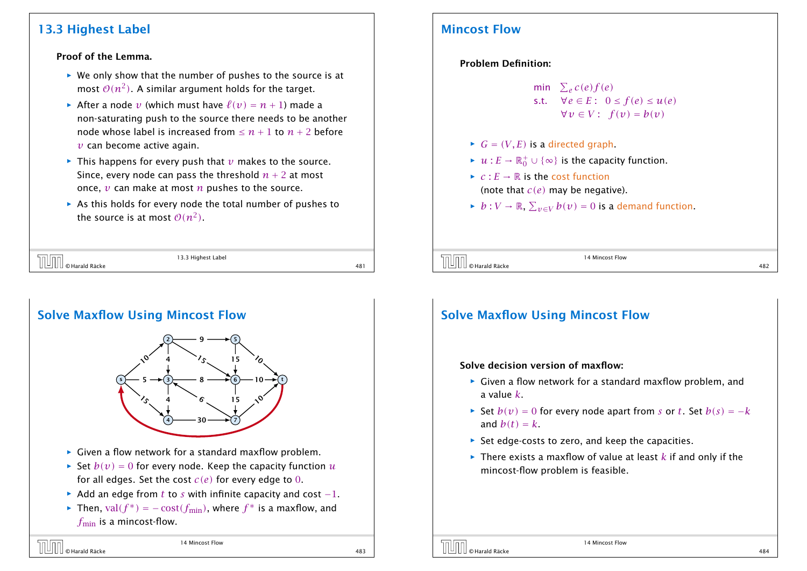### 13.3 Highest Label

#### Proof of the Lemma.

- ▶ We only show that the number of pushes to the source is at most  $\mathcal{O}(n^2)$ . A similar argument holds for the target.
- After a node *v* (which must have  $\ell(v) = n + 1$ ) made a non-saturating push to the source there needs to be another node whose label is increased from  $\leq n+1$  to  $n+2$  before *v* can become active again.
- $\blacktriangleright$  This happens for every push that *v* makes to the source. Since, every node can pass the threshold  $n + 2$  at most once, *v* can make at most *n* pushes to the source.
- **As this holds for every node the total number of pushes to** the source is at most  $\mathcal{O}(n^2)$ .

|                       | 13.3 Highest Label |  |
|-----------------------|--------------------|--|
| ∐ © Harald Räcke<br>ш |                    |  |



### Mincost Flow

#### Problem Definition:

```
min \sum_e c(e) f(e)s.t. \forall e \in E: 0 \le f(e) \le u(e)∀v ∈ V: f(v) = b(v)
```
- $\blacktriangleright$  *G* = *(V, E)* is a directed graph.
- $\blacktriangleright$  *u* : *E* →  $\mathbb{R}_0^+$   $\cup$  { $\infty$ } is the capacity function.
- $\blacktriangleright$  *c* :  $E \rightarrow \mathbb{R}$  is the cost function (note that *c(e)* may be negative).
- *► b* :  $V \to \mathbb{R}$ ,  $\sum_{v \in V} b(v) = 0$  is a demand function.

 $\begin{array}{c} \hline \text{[}} \text{[] } \text{[] } \text{[] } \text{[] } \text{[] } \text{[] } \text{[] } \text{[] } \text{[] } \text{[] } \text{[] } \text{[] } \text{[] } \text{[] } \text{[] } \text{[] } \text{[] } \text{[] } \text{[] } \text{[] } \text{[] } \text{[] } \text{[] } \text{[] } \text{[] } \text{[] } \text{[] } \text{[] } \text{[] } \text{[] } \text{[] } \text{[] } \text{[] } \text{[] } \$ 

14 Mincost Flow

# Solve Maxflow Using Mincost Flow

#### Solve decision version of maxflow:

- ▶ Given a flow network for a standard maxflow problem, and a value *k*.
- *►* Set  $b(v) = 0$  for every node apart from *s* or *t*. Set  $b(s) = -k$ and  $b(t) = k$ .
- **Follo** Set edge-costs to zero, and keep the capacities.
- $\blacktriangleright$  There exists a maxflow of value at least  $k$  if and only if the mincost-flow problem is feasible.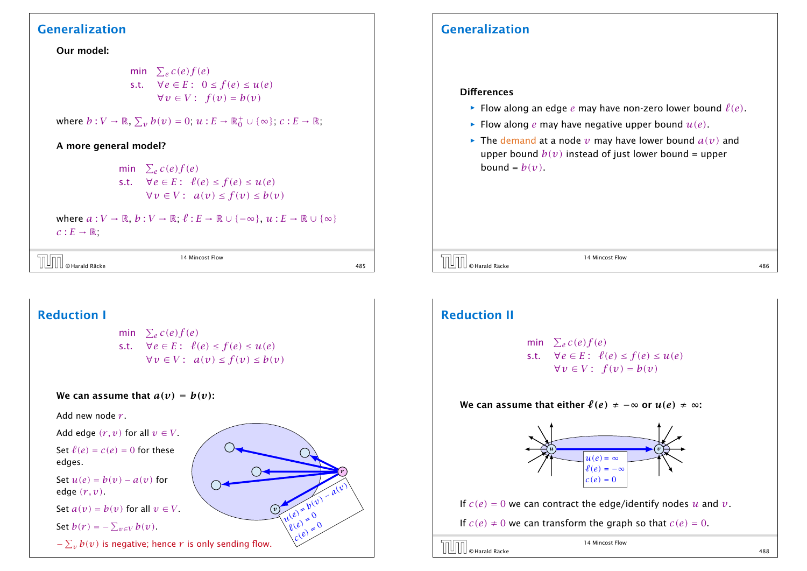### Generalization

Our model:

min  $\sum_e c(e) f(e)$ s.t.  $\forall e \in E: 0 \le f(e) \le u(e)$  $∀v ∈ V$ :  $f(v) = b(v)$ 

where  $b: V \to \mathbb{R}, \Sigma_v b(v) = 0; u: E \to \mathbb{R}_0^+ \cup {\infty}; c: E \to \mathbb{R};$ 

### A more general model?

min  $\sum_e c(e) f(e)$ s.t.  $\forall e \in E: \ell(e) \leq f(e) \leq u(e)$ *∀v* ∈ *V* :  $a(v)$  ≤  $f(v)$  ≤  $b(v)$ 

where  $a: V \to \mathbb{R}, b: V \to \mathbb{R}, \ell: E \to \mathbb{R} \cup \{-\infty\}, u: E \to \mathbb{R} \cup \{\infty\}$  $c: E \to \mathbb{R}$ ;

|                   | <b>CALLE</b><br>$\sim$<br>Mincos*<br>: Flow<br>_____ |  |
|-------------------|------------------------------------------------------|--|
| Ш<br>Harald Räcke | 485                                                  |  |

*v*

*r*

**u(e)** = *b*(v) − *a*(v)

 $\lambda^{(e)}$  = 0<br> $\lambda^{(e)}$  = 0  $c_1(e) = 0$ 

### Reduction I

min  $\sum_e c(e) f(e)$ s.t.  $\forall e \in E: \ell(e) \leq f(e) \leq u(e)$ *∀v* ∈ *V* :  $a(v)$  ≤  $f(v)$  ≤  $b(v)$ 

#### We can assume that  $a(v) = b(v)$ :

Add new node *r* .

Add edge  $(r, v)$  for all  $v \in V$ . Set  $\ell(e) = c(e) = 0$  for these

edges.

Set  $u(e) = b(v) - a(v)$  for edge *(r, v)*.

Set  $a(v) = b(v)$  for all  $v \in V$ .

Set  $b(r) = -\sum_{v \in V} b(v)$ .

 $-\sum_{v} b(v)$  is negative; hence  $r$  is only sending flow.

### Generalization

#### **Differences**

- $\blacktriangleright$  Flow along an edge *e* may have non-zero lower bound  $\ell(e)$ .
- **Flow along** *e* may have negative upper bound  $u(e)$ .
- $\blacktriangleright$  The demand at a node *v* may have lower bound  $a(v)$  and upper bound  $b(v)$  instead of just lower bound = upper bound =  $b(v)$ .

© Harald Räcke 486

14 Mincost Flow

### Reduction II

min  $\sum_e c(e) f(e)$ s.t.  $\forall e \in E: \ell(e) \leq f(e) \leq u(e)$  $∀v ∈ V$ :  $f(v) = b(v)$ 

We can assume that either  $\ell(e) \neq -\infty$  or  $u(e) \neq \infty$ :



If  $c(e) = 0$  we can contract the edge/identify nodes *u* and *v*.

If  $c(e) \neq 0$  we can transform the graph so that  $c(e) = 0$ .

 $\begin{array}{|c|c|c|}\n\hline\n\text{14 Microsoft Flow}\n\hline\n\end{array}$   $\begin{array}{|c|c|c|}\n\hline\n\text{14 Microsoft Flow}\n\hline\n\end{array}$  488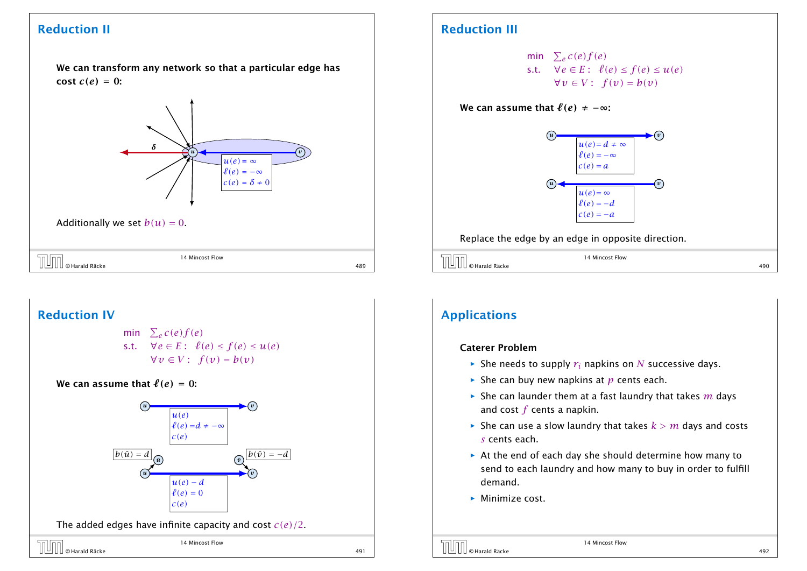### Reduction II

We can transform any network so that a particular edge has cost  $c(e) = 0$ :



Additionally we set  $b(u) = 0$ .

| D                                    | 14 Mincost Flow |                       |
|--------------------------------------|-----------------|-----------------------|
| <sup> </sup> © Harald Räcke<br>' ⊔ . |                 | 0 <sup>0</sup><br>489 |

### Reduction IV

- min  $\sum_e c(e) f(e)$ s.t.  $\forall e \in E: \ell(e) \leq f(e) \leq u(e)$  $∀v ∈ V$ :  $f(v) = b(v)$
- We can assume that  $\ell(e) = 0$ :





14 Mincost Flow

### Reduction III

min  $\sum_e c(e) f(e)$ s.t.  $\forall e \in E: \ell(e) \leq f(e) \leq u(e)$ *∀v* ∈ *V* :  $f(v) = b(v)$ 

#### We can assume that  $\ell(e) \neq -\infty$ :



Replace the edge by an edge in opposite direction.

|                   | 14 Mincost Flow |     |
|-------------------|-----------------|-----|
| Harald Räcke<br>- |                 | 190 |

### Applications

#### Caterer Problem

- $\blacktriangleright$  She needs to supply  $r_i$  napkins on *N* successive days.
- $\blacktriangleright$  She can buy new napkins at *p* cents each.
- $\blacktriangleright$  She can launder them at a fast laundry that takes *m* days and cost *f* cents a napkin.
- $\blacktriangleright$  She can use a slow laundry that takes  $k > m$  days and costs *s* cents each.
- **▶ At the end of each day she should determine how many to** send to each laundry and how many to buy in order to fulfill demand.
- **Minimize cost.**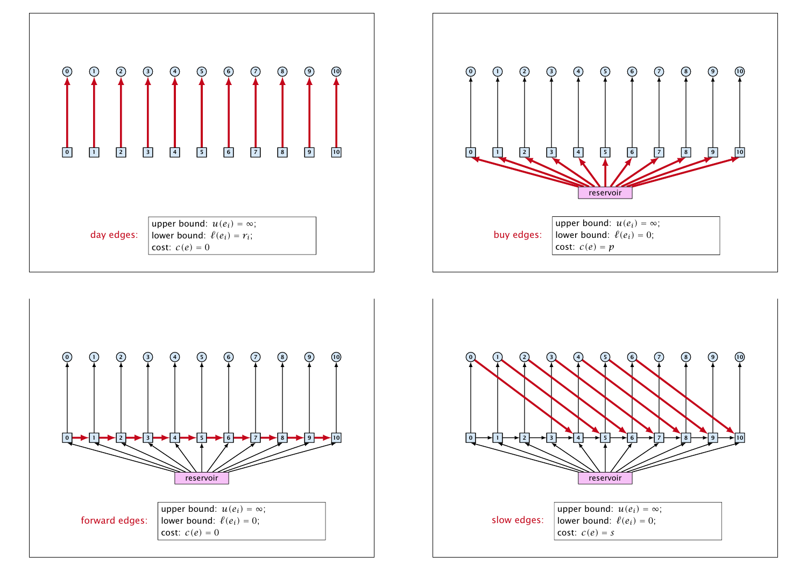





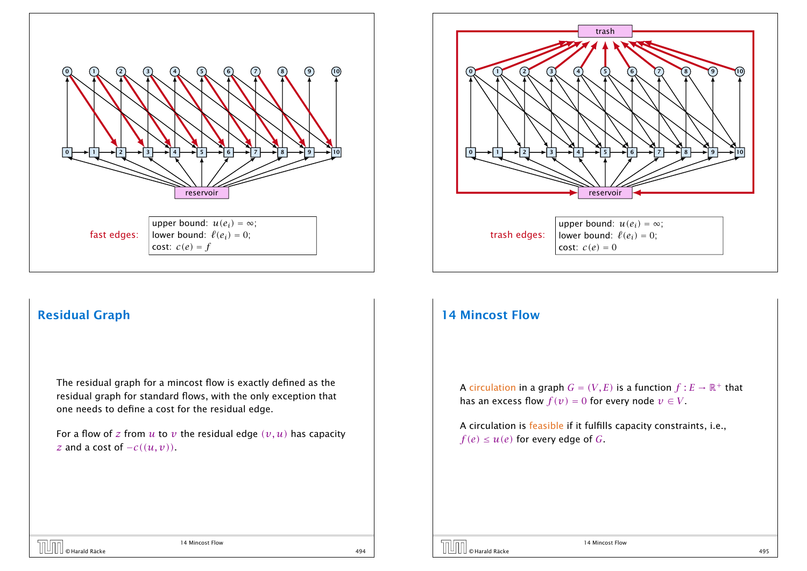



### Residual Graph

The residual graph for a mincost flow is exactly defined as the residual graph for standard flows, with the only exception that one needs to define a cost for the residual edge.

For a flow of *z* from  $u$  to  $v$  the residual edge  $(v, u)$  has capacity *z* and a cost of  $-c((u, v))$ .

### 14 Mincost Flow

A circulation in a graph  $G = (V, E)$  is a function  $f : E \to \mathbb{R}^+$  that has an excess flow  $f(v) = 0$  for every node  $v \in V$ .

A circulation is feasible if it fulfills capacity constraints, i.e.,  $f(e) \leq u(e)$  for every edge of *G*.

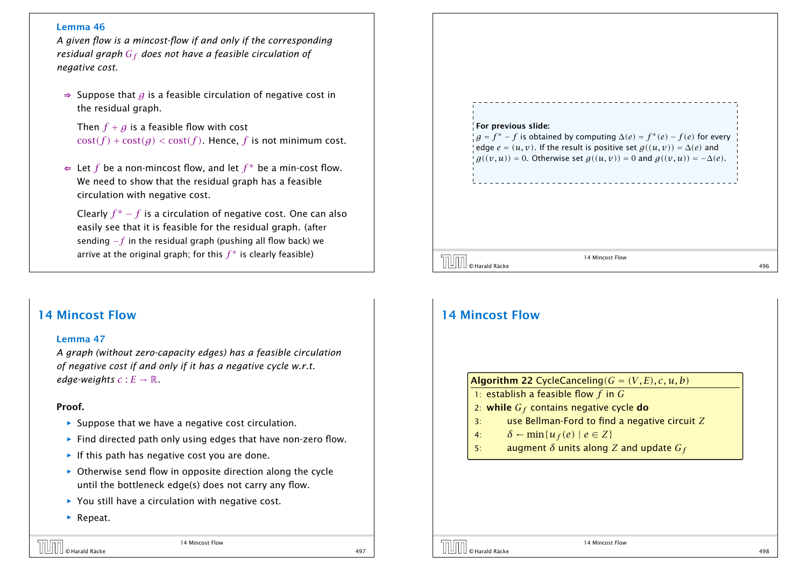#### Lemma 46

*A given flow is a mincost-flow if and only if the corresponding residual graph G<sup>f</sup> does not have a feasible circulation of negative cost.*

⇒ Suppose that *g* is a feasible circulation of negative cost in the residual graph.

Then  $f + g$  is a feasible flow with cost  $cost(f) + cost(g) < cost(f)$ . Hence, *f* is not minimum cost.

⇐ Let *f* be a non-mincost flow, and let *f* ∗ be a min-cost flow. We need to show that the residual graph has a feasible circulation with negative cost.

Clearly  $f^* - f$  is a circulation of negative cost. One can also easily see that it is feasible for the residual graph. (after sending −*f* in the residual graph (pushing all flow back) we arrive at the original graph; for this  $f^\ast$  is clearly feasible)

### 14 Mincost Flow

#### Lemma 47

*A graph (without zero-capacity edges) has a feasible circulation of negative cost if and only if it has a negative cycle w.r.t. edge-weights*  $c : E \to \mathbb{R}$ .

#### Proof.

- ▶ Suppose that we have a negative cost circulation.
- **Find directed path only using edges that have non-zero flow.**
- **Follo** If this path has negative cost you are done.
- **▶** Otherwise send flow in opposite direction along the cycle until the bottleneck edge(s) does not carry any flow.
- ▶ You still have a circulation with negative cost.
- ▶ Repeat.

| For previous slide:<br>$g = f^* - f$ is obtained by computing $\Delta(e) = f^*(e) - f(e)$ for every<br>edge $e = (u, v)$ . If the result is positive set $g((u, v)) = \Delta(e)$ and<br>$g((v, u)) = 0$ . Otherwise set $g((u, v)) = 0$ and $g((v, u)) = -\Delta(e)$ . |     |
|------------------------------------------------------------------------------------------------------------------------------------------------------------------------------------------------------------------------------------------------------------------------|-----|
| 14 Mincost Flow<br>© Harald Räcke                                                                                                                                                                                                                                      | 496 |

### 14 Mincost Flow

**Contract Contract Contract Contract**  $\overline{\mathbb{I}}$ 

#### Algorithm 22 CycleCanceling $(G = (V, E), c, u, b)$

- 1: establish a feasible flow *f* in *G*
- 2: while *G<sup>f</sup>* contains negative cycle do
- 3: use Bellman-Ford to find a negative circuit *Z*
- 4:  $\delta \leftarrow \min\{u_f(e) \mid e \in Z\}$
- 5: augment *δ* units along *Z* and update *G<sup>f</sup>*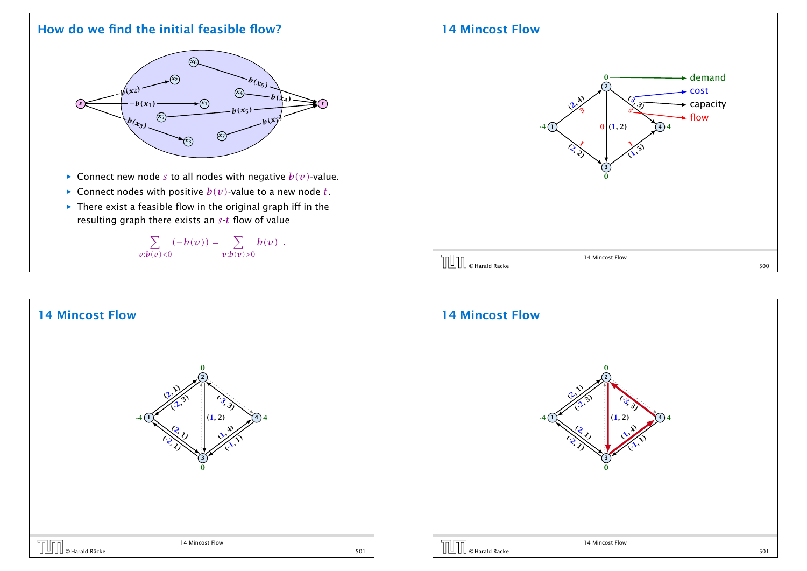### How do we find the initial feasible flow?



- $\triangleright$  Connect new node *s* to all nodes with negative  $b(v)$ -value.
- $\blacktriangleright$  Connect nodes with positive  $b(v)$ -value to a new node *t*.
- **▶** There exist a feasible flow in the original graph iff in the resulting graph there exists an *s*-*t* flow of value

 $\sum$ *v*:*b(v)<*0  $(-b(v)) = \sum$ *v*:*b(v)>*0  $b(v)$ .



### 14 Mincost Flow



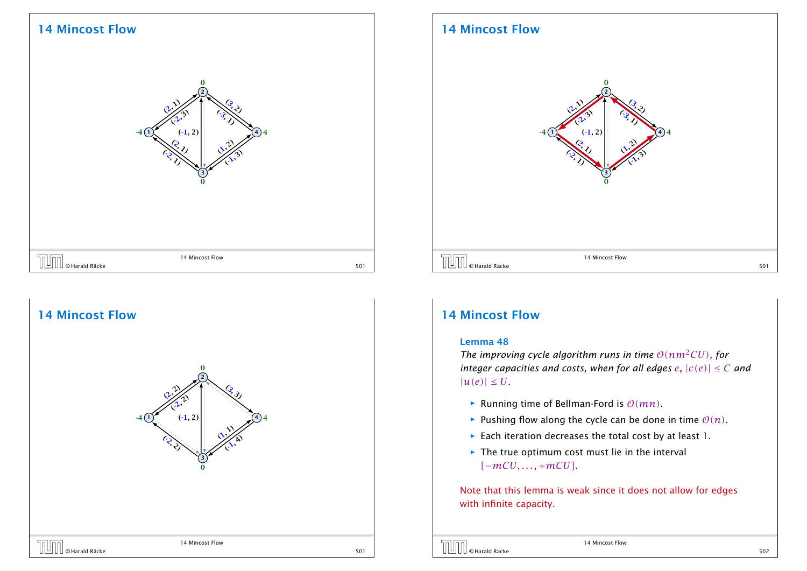### 14 Mincost Flow





### 14 Mincost Flow



### 14 Mincost Flow

#### Lemma 48

*The improving cycle algorithm runs in time*  $O(nm^2CU)$ *, for integer capacities and costs, when for all edges*  $e$ *,*  $|c(e)| \leq C$  *and*  $|u(e)| \leq U$ 

- $\blacktriangleright$  Running time of Bellman-Ford is  $O(mn)$ .
- **•** Pushing flow along the cycle can be done in time  $O(n)$ .
- ▶ Each iteration decreases the total cost by at least 1.
- **Fig. 7** The true optimum cost must lie in the interval *[*−*mCU, . . . ,* +*mCU]*.

Note that this lemma is weak since it does not allow for edges with infinite capacity.